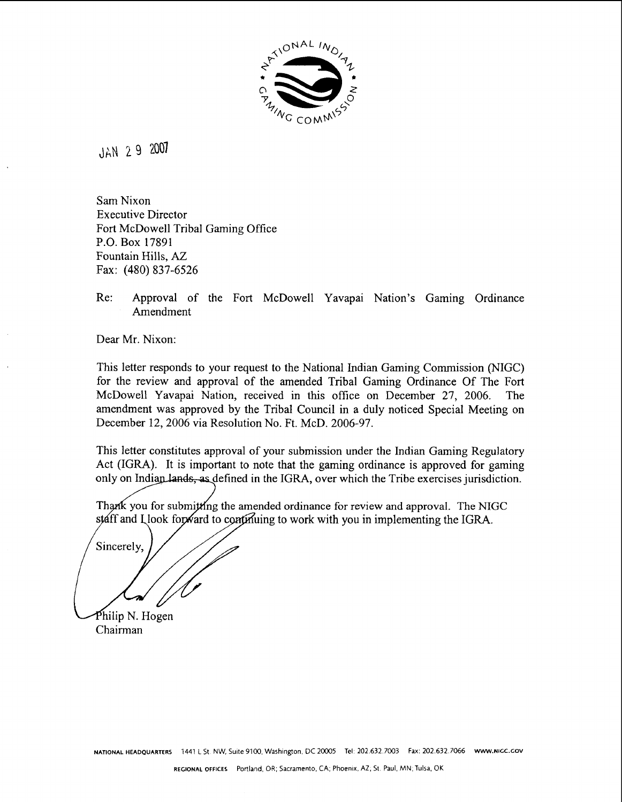

JAN 2 9 2001

Sam Nixon Executive Director Fort McDowell Tribal Gaming Office P.O. Box 17891 Fountain Hills, **AZ**  Fax: (480) 837-6526

## Re: Approval of the Fort McDowell Yavapai Nation's Gaming Ordinance Amendment

Dear Mr. Nixon:

This letter responds to your request to the National Indian Gaming Commission (NIGC) for the review and approval of the amended Tribal Gaming Ordinance Of The Fort McDowell Yavapai Nation, received in this office on December 27, 2006. The amendment was approved by the Tribal Council in a duly noticed Special Meeting on December 12,2006 via Resolution No. Ft. McD. 2006-97.

This letter constitutes approval of your submission under the Indian Gaming Regulatory Act (IGRA). It is important to note that the gaming ordinance is approved for gaming only on Indian lands, as defined in the IGRA, over which the Tribe exercises jurisdiction.

Thank you for submitting the amended ordinance for review and approval. The NIGC staff and Llook forward to continuing to work with you in implementing the IGRA.

Sincerely.

Philip N. Hogen Chairman